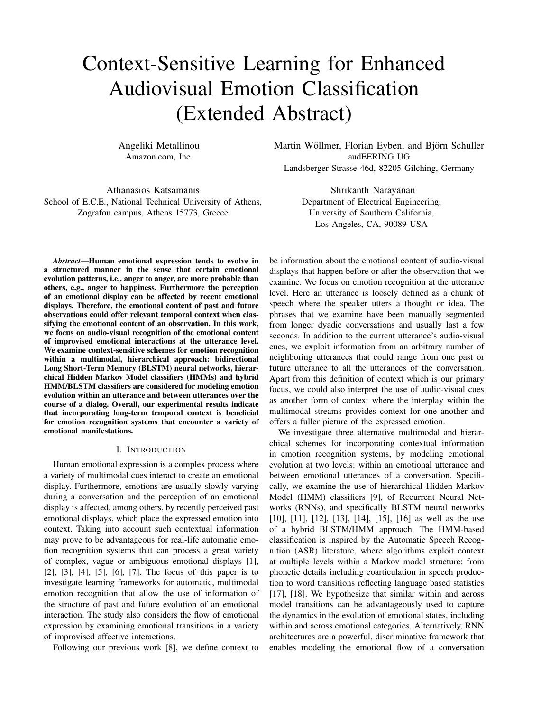# Context-Sensitive Learning for Enhanced Audiovisual Emotion Classification (Extended Abstract)

Angeliki Metallinou Amazon.com, Inc.

Martin Wöllmer, Florian Eyben, and Björn Schuller audEERING UG Landsberger Strasse 46d, 82205 Gilching, Germany

Athanasios Katsamanis School of E.C.E., National Technical University of Athens, Zografou campus, Athens 15773, Greece

Shrikanth Narayanan Department of Electrical Engineering, University of Southern California, Los Angeles, CA, 90089 USA

*Abstract*—Human emotional expression tends to evolve in a structured manner in the sense that certain emotional evolution patterns, i.e., anger to anger, are more probable than others, e.g., anger to happiness. Furthermore the perception of an emotional display can be affected by recent emotional displays. Therefore, the emotional content of past and future observations could offer relevant temporal context when classifying the emotional content of an observation. In this work, we focus on audio-visual recognition of the emotional content of improvised emotional interactions at the utterance level. We examine context-sensitive schemes for emotion recognition within a multimodal, hierarchical approach: bidirectional Long Short-Term Memory (BLSTM) neural networks, hierarchical Hidden Markov Model classifiers (HMMs) and hybrid HMM/BLSTM classifiers are considered for modeling emotion evolution within an utterance and between utterances over the course of a dialog. Overall, our experimental results indicate that incorporating long-term temporal context is beneficial for emotion recognition systems that encounter a variety of emotional manifestations.

# I. INTRODUCTION

Human emotional expression is a complex process where a variety of multimodal cues interact to create an emotional display. Furthermore, emotions are usually slowly varying during a conversation and the perception of an emotional display is affected, among others, by recently perceived past emotional displays, which place the expressed emotion into context. Taking into account such contextual information may prove to be advantageous for real-life automatic emotion recognition systems that can process a great variety of complex, vague or ambiguous emotional displays [1], [2], [3], [4], [5], [6], [7]. The focus of this paper is to investigate learning frameworks for automatic, multimodal emotion recognition that allow the use of information of the structure of past and future evolution of an emotional interaction. The study also considers the flow of emotional expression by examining emotional transitions in a variety of improvised affective interactions.

Following our previous work [8], we define context to

be information about the emotional content of audio-visual displays that happen before or after the observation that we examine. We focus on emotion recognition at the utterance level. Here an utterance is loosely defined as a chunk of speech where the speaker utters a thought or idea. The phrases that we examine have been manually segmented from longer dyadic conversations and usually last a few seconds. In addition to the current utterance's audio-visual cues, we exploit information from an arbitrary number of neighboring utterances that could range from one past or future utterance to all the utterances of the conversation. Apart from this definition of context which is our primary focus, we could also interpret the use of audio-visual cues as another form of context where the interplay within the multimodal streams provides context for one another and offers a fuller picture of the expressed emotion.

We investigate three alternative multimodal and hierarchical schemes for incorporating contextual information in emotion recognition systems, by modeling emotional evolution at two levels: within an emotional utterance and between emotional utterances of a conversation. Specifically, we examine the use of hierarchical Hidden Markov Model (HMM) classifiers [9], of Recurrent Neural Networks (RNNs), and specifically BLSTM neural networks [10], [11], [12], [13], [14], [15], [16] as well as the use of a hybrid BLSTM/HMM approach. The HMM-based classification is inspired by the Automatic Speech Recognition (ASR) literature, where algorithms exploit context at multiple levels within a Markov model structure: from phonetic details including coarticulation in speech production to word transitions reflecting language based statistics [17], [18]. We hypothesize that similar within and across model transitions can be advantageously used to capture the dynamics in the evolution of emotional states, including within and across emotional categories. Alternatively, RNN architectures are a powerful, discriminative framework that enables modeling the emotional flow of a conversation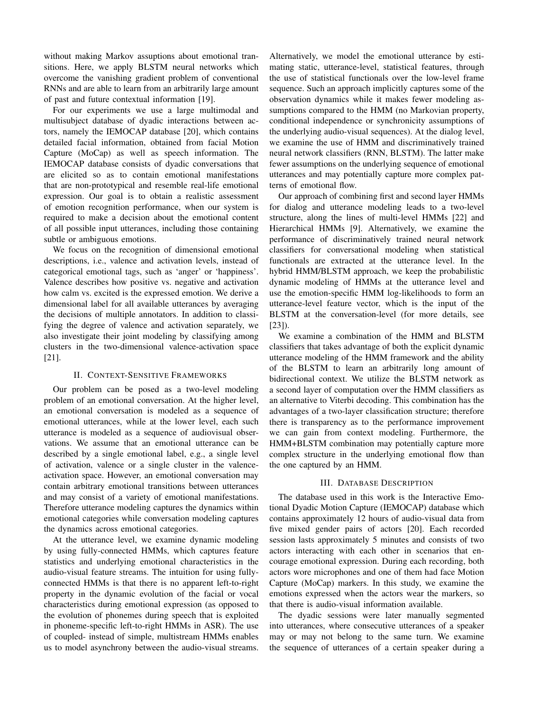without making Markov assuptions about emotional transitions. Here, we apply BLSTM neural networks which overcome the vanishing gradient problem of conventional RNNs and are able to learn from an arbitrarily large amount of past and future contextual information [19].

For our experiments we use a large multimodal and multisubject database of dyadic interactions between actors, namely the IEMOCAP database [20], which contains detailed facial information, obtained from facial Motion Capture (MoCap) as well as speech information. The IEMOCAP database consists of dyadic conversations that are elicited so as to contain emotional manifestations that are non-prototypical and resemble real-life emotional expression. Our goal is to obtain a realistic assessment of emotion recognition performance, when our system is required to make a decision about the emotional content of all possible input utterances, including those containing subtle or ambiguous emotions.

We focus on the recognition of dimensional emotional descriptions, i.e., valence and activation levels, instead of categorical emotional tags, such as 'anger' or 'happiness'. Valence describes how positive vs. negative and activation how calm vs. excited is the expressed emotion. We derive a dimensional label for all available utterances by averaging the decisions of multiple annotators. In addition to classifying the degree of valence and activation separately, we also investigate their joint modeling by classifying among clusters in the two-dimensional valence-activation space [21].

# II. CONTEXT-SENSITIVE FRAMEWORKS

Our problem can be posed as a two-level modeling problem of an emotional conversation. At the higher level, an emotional conversation is modeled as a sequence of emotional utterances, while at the lower level, each such utterance is modeled as a sequence of audiovisual observations. We assume that an emotional utterance can be described by a single emotional label, e.g., a single level of activation, valence or a single cluster in the valenceactivation space. However, an emotional conversation may contain arbitrary emotional transitions between utterances and may consist of a variety of emotional manifestations. Therefore utterance modeling captures the dynamics within emotional categories while conversation modeling captures the dynamics across emotional categories.

At the utterance level, we examine dynamic modeling by using fully-connected HMMs, which captures feature statistics and underlying emotional characteristics in the audio-visual feature streams. The intuition for using fullyconnected HMMs is that there is no apparent left-to-right property in the dynamic evolution of the facial or vocal characteristics during emotional expression (as opposed to the evolution of phonemes during speech that is exploited in phoneme-specific left-to-right HMMs in ASR). The use of coupled- instead of simple, multistream HMMs enables us to model asynchrony between the audio-visual streams.

Alternatively, we model the emotional utterance by estimating static, utterance-level, statistical features, through the use of statistical functionals over the low-level frame sequence. Such an approach implicitly captures some of the observation dynamics while it makes fewer modeling assumptions compared to the HMM (no Markovian property, conditional independence or synchronicity assumptions of the underlying audio-visual sequences). At the dialog level, we examine the use of HMM and discriminatively trained neural network classifiers (RNN, BLSTM). The latter make fewer assumptions on the underlying sequence of emotional utterances and may potentially capture more complex patterns of emotional flow.

Our approach of combining first and second layer HMMs for dialog and utterance modeling leads to a two-level structure, along the lines of multi-level HMMs [22] and Hierarchical HMMs [9]. Alternatively, we examine the performance of discriminatively trained neural network classifiers for conversational modeling when statistical functionals are extracted at the utterance level. In the hybrid HMM/BLSTM approach, we keep the probabilistic dynamic modeling of HMMs at the utterance level and use the emotion-specific HMM log-likelihoods to form an utterance-level feature vector, which is the input of the BLSTM at the conversation-level (for more details, see [23]).

We examine a combination of the HMM and BLSTM classifiers that takes advantage of both the explicit dynamic utterance modeling of the HMM framework and the ability of the BLSTM to learn an arbitrarily long amount of bidirectional context. We utilize the BLSTM network as a second layer of computation over the HMM classifiers as an alternative to Viterbi decoding. This combination has the advantages of a two-layer classification structure; therefore there is transparency as to the performance improvement we can gain from context modeling. Furthermore, the HMM+BLSTM combination may potentially capture more complex structure in the underlying emotional flow than the one captured by an HMM.

#### III. DATABASE DESCRIPTION

The database used in this work is the Interactive Emotional Dyadic Motion Capture (IEMOCAP) database which contains approximately 12 hours of audio-visual data from five mixed gender pairs of actors [20]. Each recorded session lasts approximately 5 minutes and consists of two actors interacting with each other in scenarios that encourage emotional expression. During each recording, both actors wore microphones and one of them had face Motion Capture (MoCap) markers. In this study, we examine the emotions expressed when the actors wear the markers, so that there is audio-visual information available.

The dyadic sessions were later manually segmented into utterances, where consecutive utterances of a speaker may or may not belong to the same turn. We examine the sequence of utterances of a certain speaker during a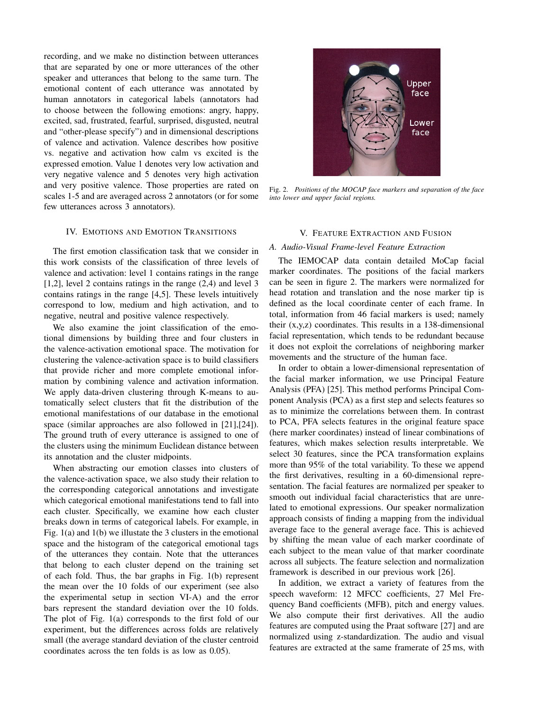recording, and we make no distinction between utterances that are separated by one or more utterances of the other speaker and utterances that belong to the same turn. The emotional content of each utterance was annotated by human annotators in categorical labels (annotators had to choose between the following emotions: angry, happy, excited, sad, frustrated, fearful, surprised, disgusted, neutral and "other-please specify") and in dimensional descriptions of valence and activation. Valence describes how positive vs. negative and activation how calm vs excited is the expressed emotion. Value 1 denotes very low activation and very negative valence and 5 denotes very high activation and very positive valence. Those properties are rated on scales 1-5 and are averaged across 2 annotators (or for some few utterances across 3 annotators).

## IV. EMOTIONS AND EMOTION TRANSITIONS

The first emotion classification task that we consider in this work consists of the classification of three levels of valence and activation: level 1 contains ratings in the range [1,2], level 2 contains ratings in the range (2,4) and level 3 contains ratings in the range [4,5]. These levels intuitively correspond to low, medium and high activation, and to negative, neutral and positive valence respectively.

We also examine the joint classification of the emotional dimensions by building three and four clusters in the valence-activation emotional space. The motivation for clustering the valence-activation space is to build classifiers that provide richer and more complete emotional information by combining valence and activation information. We apply data-driven clustering through K-means to automatically select clusters that fit the distribution of the emotional manifestations of our database in the emotional space (similar approaches are also followed in [21],[24]). The ground truth of every utterance is assigned to one of the clusters using the minimum Euclidean distance between its annotation and the cluster midpoints.

When abstracting our emotion classes into clusters of the valence-activation space, we also study their relation to the corresponding categorical annotations and investigate which categorical emotional manifestations tend to fall into each cluster. Specifically, we examine how each cluster breaks down in terms of categorical labels. For example, in Fig. 1(a) and 1(b) we illustate the 3 clusters in the emotional space and the histogram of the categorical emotional tags of the utterances they contain. Note that the utterances that belong to each cluster depend on the training set of each fold. Thus, the bar graphs in Fig. 1(b) represent the mean over the 10 folds of our experiment (see also the experimental setup in section VI-A) and the error bars represent the standard deviation over the 10 folds. The plot of Fig. 1(a) corresponds to the first fold of our experiment, but the differences across folds are relatively small (the average standard deviation of the cluster centroid coordinates across the ten folds is as low as 0.05).



Fig. 2. *Positions of the MOCAP face markers and separation of the face into lower and upper facial regions.*

# V. FEATURE EXTRACTION AND FUSION

## *A. Audio-Visual Frame-level Feature Extraction*

The IEMOCAP data contain detailed MoCap facial marker coordinates. The positions of the facial markers can be seen in figure 2. The markers were normalized for head rotation and translation and the nose marker tip is defined as the local coordinate center of each frame. In total, information from 46 facial markers is used; namely their (x,y,z) coordinates. This results in a 138-dimensional facial representation, which tends to be redundant because it does not exploit the correlations of neighboring marker movements and the structure of the human face.

In order to obtain a lower-dimensional representation of the facial marker information, we use Principal Feature Analysis (PFA) [25]. This method performs Principal Component Analysis (PCA) as a first step and selects features so as to minimize the correlations between them. In contrast to PCA, PFA selects features in the original feature space (here marker coordinates) instead of linear combinations of features, which makes selection results interpretable. We select 30 features, since the PCA transformation explains more than 95% of the total variability. To these we append the first derivatives, resulting in a 60-dimensional representation. The facial features are normalized per speaker to smooth out individual facial characteristics that are unrelated to emotional expressions. Our speaker normalization approach consists of finding a mapping from the individual average face to the general average face. This is achieved by shifting the mean value of each marker coordinate of each subject to the mean value of that marker coordinate across all subjects. The feature selection and normalization framework is described in our previous work [26].

In addition, we extract a variety of features from the speech waveform: 12 MFCC coefficients, 27 Mel Frequency Band coefficients (MFB), pitch and energy values. We also compute their first derivatives. All the audio features are computed using the Praat software [27] and are normalized using z-standardization. The audio and visual features are extracted at the same framerate of 25 ms, with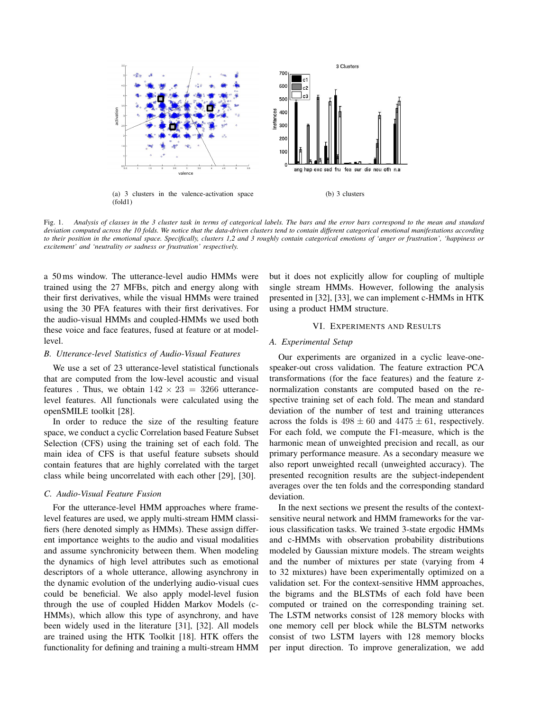

(a) 3 clusters in the valence-activation space (fold1)

(b) 3 clusters

Fig. 1. *Analysis of classes in the 3 cluster task in terms of categorical labels. The bars and the error bars correspond to the mean and standard deviation computed across the 10 folds. We notice that the data-driven clusters tend to contain different categorical emotional manifestations according to their position in the emotional space. Specifically, clusters 1,2 and 3 roughly contain categorical emotions of 'anger or frustration', 'happiness or excitement' and 'neutrality or sadness or frustration' respectively.*

a 50 ms window. The utterance-level audio HMMs were trained using the 27 MFBs, pitch and energy along with their first derivatives, while the visual HMMs were trained using the 30 PFA features with their first derivatives. For the audio-visual HMMs and coupled-HMMs we used both these voice and face features, fused at feature or at modellevel.

#### *B. Utterance-level Statistics of Audio-Visual Features*

We use a set of 23 utterance-level statistical functionals that are computed from the low-level acoustic and visual features . Thus, we obtain  $142 \times 23 = 3266$  utterancelevel features. All functionals were calculated using the openSMILE toolkit [28].

In order to reduce the size of the resulting feature space, we conduct a cyclic Correlation based Feature Subset Selection (CFS) using the training set of each fold. The main idea of CFS is that useful feature subsets should contain features that are highly correlated with the target class while being uncorrelated with each other [29], [30].

# *C. Audio-Visual Feature Fusion*

For the utterance-level HMM approaches where framelevel features are used, we apply multi-stream HMM classifiers (here denoted simply as HMMs). These assign different importance weights to the audio and visual modalities and assume synchronicity between them. When modeling the dynamics of high level attributes such as emotional descriptors of a whole utterance, allowing asynchrony in the dynamic evolution of the underlying audio-visual cues could be beneficial. We also apply model-level fusion through the use of coupled Hidden Markov Models (c-HMMs), which allow this type of asynchrony, and have been widely used in the literature [31], [32]. All models are trained using the HTK Toolkit [18]. HTK offers the functionality for defining and training a multi-stream HMM but it does not explicitly allow for coupling of multiple single stream HMMs. However, following the analysis presented in [32], [33], we can implement c-HMMs in HTK using a product HMM structure.

# VI. EXPERIMENTS AND RESULTS

# *A. Experimental Setup*

Our experiments are organized in a cyclic leave-onespeaker-out cross validation. The feature extraction PCA transformations (for the face features) and the feature znormalization constants are computed based on the respective training set of each fold. The mean and standard deviation of the number of test and training utterances across the folds is  $498 \pm 60$  and  $4475 \pm 61$ , respectively. For each fold, we compute the F1-measure, which is the harmonic mean of unweighted precision and recall, as our primary performance measure. As a secondary measure we also report unweighted recall (unweighted accuracy). The presented recognition results are the subject-independent averages over the ten folds and the corresponding standard deviation.

In the next sections we present the results of the contextsensitive neural network and HMM frameworks for the various classification tasks. We trained 3-state ergodic HMMs and c-HMMs with observation probability distributions modeled by Gaussian mixture models. The stream weights and the number of mixtures per state (varying from 4 to 32 mixtures) have been experimentally optimized on a validation set. For the context-sensitive HMM approaches, the bigrams and the BLSTMs of each fold have been computed or trained on the corresponding training set. The LSTM networks consist of 128 memory blocks with one memory cell per block while the BLSTM networks consist of two LSTM layers with 128 memory blocks per input direction. To improve generalization, we add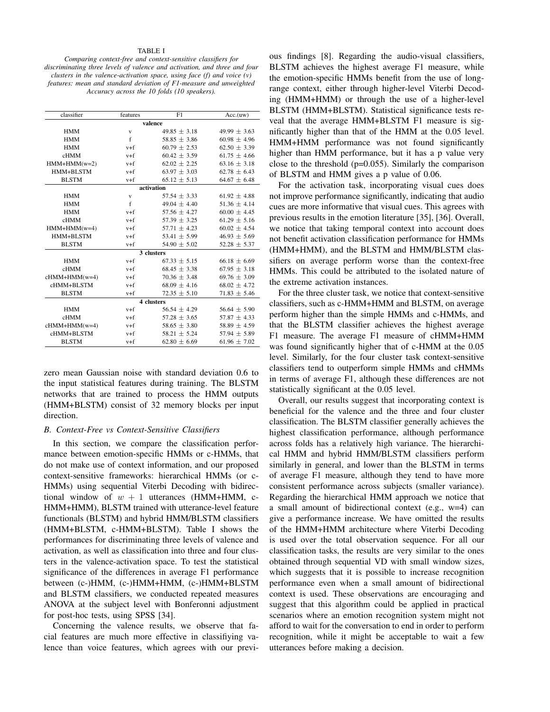#### TABLE I

*Comparing context-free and context-sensitive classifiers for discriminating three levels of valence and activation, and three and four clusters in the valence-activation space, using face (f) and voice (v) features: mean and standard deviation of F1-measure and unweighted Accuracy across the 10 folds (10 speakers).*

| classifier     | features     | F1               | Acc.(uw)         |  |
|----------------|--------------|------------------|------------------|--|
| valence        |              |                  |                  |  |
| <b>HMM</b>     | $\mathbf{V}$ | $49.85 \pm 3.18$ | $49.99 \pm 3.63$ |  |
| <b>HMM</b>     | f            | $58.85 \pm 3.86$ | $60.98 \pm 4.96$ |  |
| <b>HMM</b>     | v+f          | $60.79 \pm 2.53$ | $62.50 \pm 3.39$ |  |
| cHMM           | $v + f$      | $60.42 \pm 3.59$ | $61.75 + 4.66$   |  |
| $HMM+HMM(w=2)$ | v+f          | $62.02 \pm 2.25$ | $63.16 \pm 3.18$ |  |
| HMM+BLSTM      | $v + f$      | $63.97 \pm 3.03$ | 62.78 $\pm$ 6.43 |  |
| <b>BLSTM</b>   | $v + f$      | $65.12 \pm 5.13$ | 64.67 $\pm$ 6.48 |  |
| activation     |              |                  |                  |  |
| <b>HMM</b>     | $\mathbf V$  | $57.54 \pm 3.33$ | $61.92 + 4.88$   |  |
| <b>HMM</b>     | f            | $49.04 \pm 4.40$ | $51.36 \pm 4.14$ |  |
| <b>HMM</b>     | v+f          | $57.56 \pm 4.27$ | $60.00 \pm 4.45$ |  |
| cHMM           | $v + f$      | $57.39 \pm 3.25$ | $61.29 \pm 5.16$ |  |
| $HMM+HMM(w=4)$ | v+f          | $57.71 \pm 4.23$ | $60.02 \pm 4.54$ |  |
| HMM+BLSTM      | $v + f$      | 53.41 $\pm$ 5.99 | $46.93 \pm 5.69$ |  |
| <b>BLSTM</b>   | $v + f$      | $54.90 \pm 5.02$ | $52.28 \pm 5.37$ |  |
| 3 clusters     |              |                  |                  |  |
| <b>HMM</b>     | v+f          | $67.33 \pm 5.15$ | $66.18 \pm 6.69$ |  |
| cHMM           | v+f          | $68.45 \pm 3.38$ | $67.95 \pm 3.18$ |  |
| cHMM+HMM(w=4)  | v+f          | $70.36 \pm 3.48$ | $69.76 \pm 3.09$ |  |
| cHMM+BLSTM     | $v + f$      | $68.09 \pm 4.16$ | $68.02 \pm 4.72$ |  |
| <b>BLSTM</b>   | v+f          | $72.35 \pm 5.10$ | $71.83 \pm 5.46$ |  |
| 4 clusters     |              |                  |                  |  |
| <b>HMM</b>     | $v + f$      | $56.54 \pm 4.29$ | $56.64 \pm 5.90$ |  |
| cHMM           | v+f          | $57.28 \pm 3.65$ | $57.87 \pm 4.33$ |  |
| cHMM+HMM(w=4)  | v+f          | $58.65 \pm 3.80$ | $58.89 \pm 4.59$ |  |
| cHMM+BLSTM     | $v + f$      | $58.21 \pm 5.24$ | $57.94 \pm 5.89$ |  |
| <b>BLSTM</b>   | $v + f$      | $62.80 \pm 6.69$ | $61.96 \pm 7.02$ |  |

zero mean Gaussian noise with standard deviation 0.6 to the input statistical features during training. The BLSTM networks that are trained to process the HMM outputs (HMM+BLSTM) consist of 32 memory blocks per input direction.

## *B. Context-Free vs Context-Sensitive Classifiers*

In this section, we compare the classification performance between emotion-specific HMMs or c-HMMs, that do not make use of context information, and our proposed context-sensitive frameworks: hierarchical HMMs (or c-HMMs) using sequential Viterbi Decoding with bidirectional window of  $w + 1$  utterances (HMM+HMM, c-HMM+HMM), BLSTM trained with utterance-level feature functionals (BLSTM) and hybrid HMM/BLSTM classifiers (HMM+BLSTM, c-HMM+BLSTM). Table I shows the performances for discriminating three levels of valence and activation, as well as classification into three and four clusters in the valence-activation space. To test the statistical significance of the differences in average F1 performance between (c-)HMM, (c-)HMM+HMM, (c-)HMM+BLSTM and BLSTM classifiers, we conducted repeated measures ANOVA at the subject level with Bonferonni adjustment for post-hoc tests, using SPSS [34].

Concerning the valence results, we observe that facial features are much more effective in classifiying valence than voice features, which agrees with our previous findings [8]. Regarding the audio-visual classifiers, BLSTM achieves the highest average F1 measure, while the emotion-specific HMMs benefit from the use of longrange context, either through higher-level Viterbi Decoding (HMM+HMM) or through the use of a higher-level BLSTM (HMM+BLSTM). Statistical significance tests reveal that the average HMM+BLSTM F1 measure is significantly higher than that of the HMM at the 0.05 level. HMM+HMM performance was not found significantly higher than HMM performance, but it has a p value very close to the threshold  $(p=0.055)$ . Similarly the comparison of BLSTM and HMM gives a p value of 0.06.

For the activation task, incorporating visual cues does not improve performance significantly, indicating that audio cues are more informative that visual cues. This agrees with previous results in the emotion literature [35], [36]. Overall, we notice that taking temporal context into account does not benefit activation classification performance for HMMs (HMM+HMM), and the BLSTM and HMM/BLSTM classifiers on average perform worse than the context-free HMMs. This could be attributed to the isolated nature of the extreme activation instances.

For the three cluster task, we notice that context-sensitive classifiers, such as c-HMM+HMM and BLSTM, on average perform higher than the simple HMMs and c-HMMs, and that the BLSTM classifier achieves the highest average F1 measure. The average F1 measure of cHMM+HMM was found significantly higher that of c-HMM at the 0.05 level. Similarly, for the four cluster task context-sensitive classifiers tend to outperform simple HMMs and cHMMs in terms of average F1, although these differences are not statistically significant at the 0.05 level.

Overall, our results suggest that incorporating context is beneficial for the valence and the three and four cluster classification. The BLSTM classifier generally achieves the highest classification performance, although performance across folds has a relatively high variance. The hierarchical HMM and hybrid HMM/BLSTM classifiers perform similarly in general, and lower than the BLSTM in terms of average F1 measure, although they tend to have more consistent performance across subjects (smaller variance). Regarding the hierarchical HMM approach we notice that a small amount of bidirectional context (e.g., w=4) can give a performance increase. We have omitted the results of the HMM+HMM architecture where Viterbi Decoding is used over the total observation sequence. For all our classification tasks, the results are very similar to the ones obtained through sequential VD with small window sizes, which suggests that it is possible to increase recognition performance even when a small amount of bidirectional context is used. These observations are encouraging and suggest that this algorithm could be applied in practical scenarios where an emotion recognition system might not afford to wait for the conversation to end in order to perform recognition, while it might be acceptable to wait a few utterances before making a decision.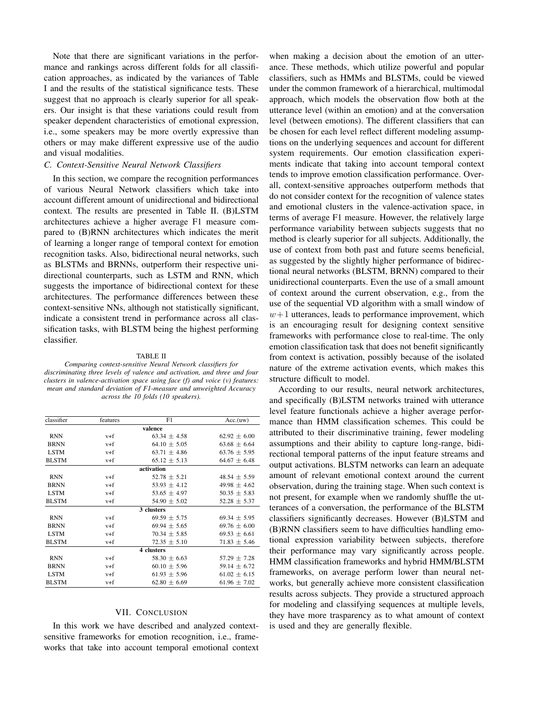Note that there are significant variations in the performance and rankings across different folds for all classification approaches, as indicated by the variances of Table I and the results of the statistical significance tests. These suggest that no approach is clearly superior for all speakers. Our insight is that these variations could result from speaker dependent characteristics of emotional expression, i.e., some speakers may be more overtly expressive than others or may make different expressive use of the audio and visual modalities.

#### *C. Context-Sensitive Neural Network Classifiers*

In this section, we compare the recognition performances of various Neural Network classifiers which take into account different amount of unidirectional and bidirectional context. The results are presented in Table II. (B)LSTM architectures achieve a higher average F1 measure compared to (B)RNN architectures which indicates the merit of learning a longer range of temporal context for emotion recognition tasks. Also, bidirectional neural networks, such as BLSTMs and BRNNs, outperform their respective unidirectional counterparts, such as LSTM and RNN, which suggests the importance of bidirectional context for these architectures. The performance differences between these context-sensitive NNs, although not statistically significant, indicate a consistent trend in performance across all classification tasks, with BLSTM being the highest performing classifier.

#### TABLE II

*Comparing context-sensitive Neural Network classifiers for discriminating three levels of valence and activation, and three and four clusters in valence-activation space using face (f) and voice (v) features: mean and standard deviation of F1-measure and unweighted Accuracy across the 10 folds (10 speakers).*

| classifier   | features | F1               | Acc.(uw)         |  |  |
|--------------|----------|------------------|------------------|--|--|
| valence      |          |                  |                  |  |  |
| <b>RNN</b>   | $v + f$  | $63.34 \pm 4.58$ | $62.92 \pm 6.00$ |  |  |
| <b>BRNN</b>  | $v + f$  | $64.10 \pm 5.05$ | $63.68 \pm 6.64$ |  |  |
| <b>LSTM</b>  | $v + f$  | $63.71 \pm 4.86$ | $63.76 \pm 5.95$ |  |  |
| <b>BLSTM</b> | v+f      | $65.12 \pm 5.13$ | $64.67 \pm 6.48$ |  |  |
| activation   |          |                  |                  |  |  |
| <b>RNN</b>   | $v+f$    | $52.78 \pm 5.21$ | $48.54 \pm 5.59$ |  |  |
| <b>BRNN</b>  | $v + f$  | $53.93 \pm 4.12$ | $49.98 \pm 4.62$ |  |  |
| <b>LSTM</b>  | $v+f$    | $53.65 \pm 4.97$ | $50.35 \pm 5.83$ |  |  |
| <b>BLSTM</b> | $v+f$    | $54.90 \pm 5.02$ | $52.28 \pm 5.37$ |  |  |
| 3 clusters   |          |                  |                  |  |  |
| <b>RNN</b>   | $v+f$    | $69.59 \pm 5.75$ | $69.34 \pm 5.95$ |  |  |
| <b>BRNN</b>  | $v + f$  | $69.94 \pm 5.65$ | $69.76 \pm 6.00$ |  |  |
| <b>LSTM</b>  | $v+f$    | $70.34 \pm 5.85$ | $69.53 \pm 6.61$ |  |  |
| <b>BLSTM</b> | v+f      | $72.35 \pm 5.10$ | $71.83 \pm 5.46$ |  |  |
| 4 clusters   |          |                  |                  |  |  |
| <b>RNN</b>   | $v+f$    | $58.30 \pm 6.63$ | $57.29 \pm 7.28$ |  |  |
| <b>BRNN</b>  | $v + f$  | $60.10 \pm 5.96$ | $59.14 \pm 6.72$ |  |  |
| <b>LSTM</b>  | $v+f$    | $61.93 \pm 5.96$ | $61.02 \pm 6.15$ |  |  |
| <b>BLSTM</b> | v+f      | $62.80 \pm 6.69$ | $61.96 \pm 7.02$ |  |  |

#### VII. CONCLUSION

In this work we have described and analyzed contextsensitive frameworks for emotion recognition, i.e., frameworks that take into account temporal emotional context when making a decision about the emotion of an utterance. These methods, which utilize powerful and popular classifiers, such as HMMs and BLSTMs, could be viewed under the common framework of a hierarchical, multimodal approach, which models the observation flow both at the utterance level (within an emotion) and at the conversation level (between emotions). The different classifiers that can be chosen for each level reflect different modeling assumptions on the underlying sequences and account for different system requirements. Our emotion classification experiments indicate that taking into account temporal context tends to improve emotion classification performance. Overall, context-sensitive approaches outperform methods that do not consider context for the recognition of valence states and emotional clusters in the valence-activation space, in terms of average F1 measure. However, the relatively large performance variability between subjects suggests that no method is clearly superior for all subjects. Additionally, the use of context from both past and future seems beneficial, as suggested by the slightly higher performance of bidirectional neural networks (BLSTM, BRNN) compared to their unidirectional counterparts. Even the use of a small amount of context around the current observation, e.g., from the use of the sequential VD algorithm with a small window of  $w+1$  utterances, leads to performance improvement, which is an encouraging result for designing context sensitive frameworks with performance close to real-time. The only emotion classification task that does not benefit significantly from context is activation, possibly because of the isolated nature of the extreme activation events, which makes this structure difficult to model.

According to our results, neural network architectures, and specifically (B)LSTM networks trained with utterance level feature functionals achieve a higher average performance than HMM classification schemes. This could be attributed to their discriminative training, fewer modeling assumptions and their ability to capture long-range, bidirectional temporal patterns of the input feature streams and output activations. BLSTM networks can learn an adequate amount of relevant emotional context around the current observation, during the training stage. When such context is not present, for example when we randomly shuffle the utterances of a conversation, the performance of the BLSTM classifiers significantly decreases. However (B)LSTM and (B)RNN classifiers seem to have difficulties handling emotional expression variability between subjects, therefore their performance may vary significantly across people. HMM classification frameworks and hybrid HMM/BLSTM frameworks, on average perform lower than neural networks, but generally achieve more consistent classification results across subjects. They provide a structured approach for modeling and classifying sequences at multiple levels, they have more trasparency as to what amount of context is used and they are generally flexible.